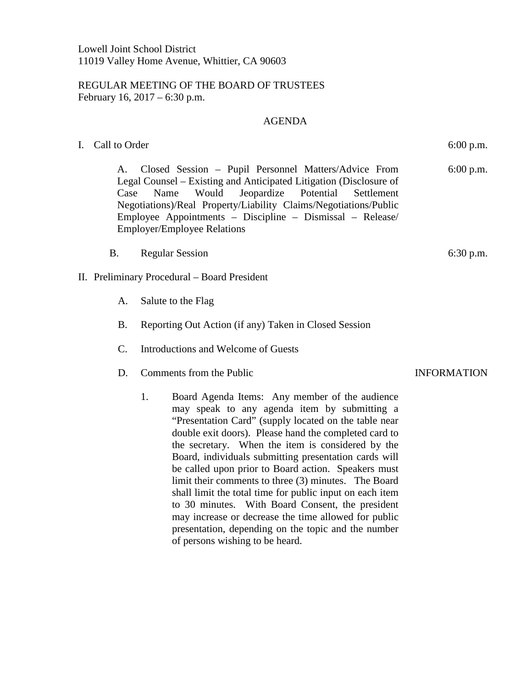## REGULAR MEETING OF THE BOARD OF TRUSTEES February 16, 2017 – 6:30 p.m.

## AGENDA

I. Call to Order 6:00 p.m.

A. Closed Session – Pupil Personnel Matters/Advice From Legal Counsel – Existing and Anticipated Litigation (Disclosure of Case Name Would Jeopardize Potential Settlement Negotiations)/Real Property/Liability Claims/Negotiations/Public Employee Appointments – Discipline – Dismissal – Release/ Employer/Employee Relations 6:00 p.m.

- B. Regular Session 6:30 p.m.
- II. Preliminary Procedural Board President
	- A. Salute to the Flag
	- B. Reporting Out Action (if any) Taken in Closed Session
	- C. Introductions and Welcome of Guests
	- D. Comments from the Public **INFORMATION** 
		- 1. Board Agenda Items: Any member of the audience may speak to any agenda item by submitting a "Presentation Card" (supply located on the table near double exit doors). Please hand the completed card to the secretary. When the item is considered by the Board, individuals submitting presentation cards will be called upon prior to Board action. Speakers must limit their comments to three (3) minutes. The Board shall limit the total time for public input on each item to 30 minutes. With Board Consent, the president may increase or decrease the time allowed for public presentation, depending on the topic and the number of persons wishing to be heard.